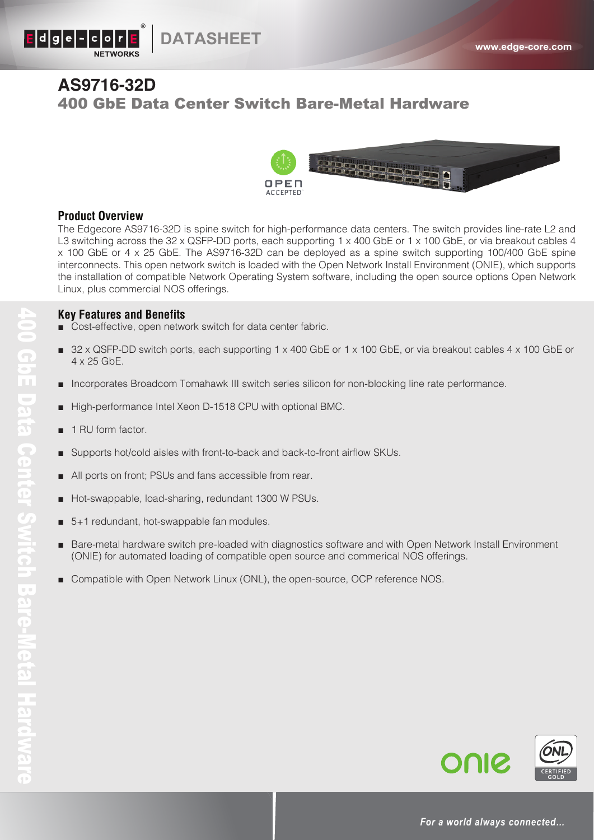

## **AS9716-32D** 400 GbE Data Center Switch Bare-Metal Hardware



## **Product Overview**

The Edgecore AS9716-32D is spine switch for high-performance data centers. The switch provides line-rate L2 and L3 switching across the 32 x QSFP-DD ports, each supporting 1 x 400 GbE or 1 x 100 GbE, or via breakout cables 4 x 100 GbE or 4 x 25 GbE. The AS9716-32D can be deployed as a spine switch supporting 100/400 GbE spine interconnects. This open network switch is loaded with the Open Network Install Environment (ONIE), which supports the installation of compatible Network Operating System software, including the open source options Open Network Linux, plus commercial NOS offerings.

## **Key Features and Benefits**

- Cost-effective, open network switch for data center fabric.
- 32 x QSFP-DD switch ports, each supporting 1 x 400 GbE or 1 x 100 GbE, or via breakout cables 4 x 100 GbE or 4 x 25 GbE.
- Incorporates Broadcom Tomahawk III switch series silicon for non-blocking line rate performance.
- High-performance Intel Xeon D-1518 CPU with optional BMC.
- 1 RU form factor.
- Supports hot/cold aisles with front-to-back and back-to-front airflow SKUs.
- All ports on front; PSUs and fans accessible from rear.
- Hot-swappable, load-sharing, redundant 1300 W PSUs.
- 5+1 redundant, hot-swappable fan modules.
- Bare-metal hardware switch pre-loaded with diagnostics software and with Open Network Install Environment (ONIE) for automated loading of compatible open source and commerical NOS offerings.
- Compatible with Open Network Linux (ONL), the open-source, OCP reference NOS.



ONIC